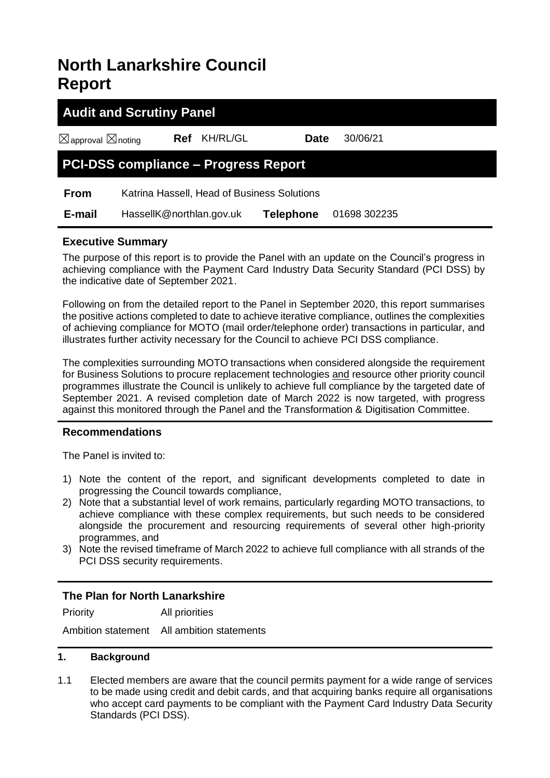# **North Lanarkshire Council Report**

| <b>Audit and Scrutiny Panel</b>             |                                             |          |                  |              |  |  |
|---------------------------------------------|---------------------------------------------|----------|------------------|--------------|--|--|
| $\boxtimes$ approval $\boxtimes$ noting     | Ref                                         | KH/RL/GL | <b>Date</b>      | 30/06/21     |  |  |
| <b>PCI-DSS compliance - Progress Report</b> |                                             |          |                  |              |  |  |
| <b>From</b>                                 | Katrina Hassell, Head of Business Solutions |          |                  |              |  |  |
| E-mail                                      | HassellK@northlan.gov.uk                    |          | <b>Telephone</b> | 01698 302235 |  |  |

# **Executive Summary**

The purpose of this report is to provide the Panel with an update on the Council's progress in achieving compliance with the Payment Card Industry Data Security Standard (PCI DSS) by the indicative date of September 2021.

Following on from the detailed report to the Panel in September 2020, this report summarises the positive actions completed to date to achieve iterative compliance, outlines the complexities of achieving compliance for MOTO (mail order/telephone order) transactions in particular, and illustrates further activity necessary for the Council to achieve PCI DSS compliance.

The complexities surrounding MOTO transactions when considered alongside the requirement for Business Solutions to procure replacement technologies and resource other priority council programmes illustrate the Council is unlikely to achieve full compliance by the targeted date of September 2021. A revised completion date of March 2022 is now targeted, with progress against this monitored through the Panel and the Transformation & Digitisation Committee.

# **Recommendations**

The Panel is invited to:

- 1) Note the content of the report, and significant developments completed to date in progressing the Council towards compliance,
- 2) Note that a substantial level of work remains, particularly regarding MOTO transactions, to achieve compliance with these complex requirements, but such needs to be considered alongside the procurement and resourcing requirements of several other high-priority programmes, and
- 3) Note the revised timeframe of March 2022 to achieve full compliance with all strands of the PCI DSS security requirements.

# **The Plan for North Lanarkshire**

Priority All priorities

Ambition statement All ambition statements

## **1. Background**

1.1 Elected members are aware that the council permits payment for a wide range of services to be made using credit and debit cards, and that acquiring banks require all organisations who accept card payments to be compliant with the Payment Card Industry Data Security Standards (PCI DSS).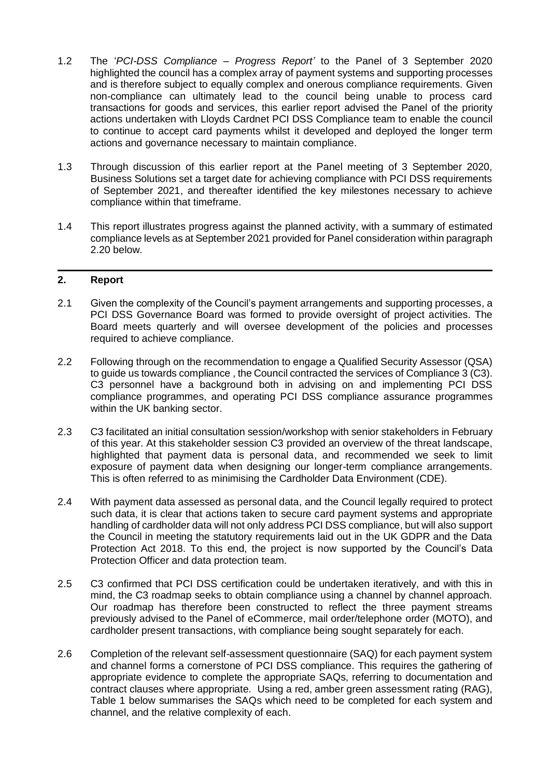- 1.2 The '*PCI-DSS Compliance – Progress Report'* to the Panel of 3 September 2020 highlighted the council has a complex array of payment systems and supporting processes and is therefore subject to equally complex and onerous compliance requirements. Given non-compliance can ultimately lead to the council being unable to process card transactions for goods and services, this earlier report advised the Panel of the priority actions undertaken with Lloyds Cardnet PCI DSS Compliance team to enable the council to continue to accept card payments whilst it developed and deployed the longer term actions and governance necessary to maintain compliance.
- 1.3 Through discussion of this earlier report at the Panel meeting of 3 September 2020, Business Solutions set a target date for achieving compliance with PCI DSS requirements of September 2021, and thereafter identified the key milestones necessary to achieve compliance within that timeframe.
- 1.4 This report illustrates progress against the planned activity, with a summary of estimated compliance levels as at September 2021 provided for Panel consideration within paragraph 2.20 below.

# **2. Report**

- 2.1 Given the complexity of the Council's payment arrangements and supporting processes, a PCI DSS Governance Board was formed to provide oversight of project activities. The Board meets quarterly and will oversee development of the policies and processes required to achieve compliance.
- 2.2 Following through on the recommendation to engage a Qualified Security Assessor (QSA) to guide us towards compliance , the Council contracted the services of Compliance 3 (C3). C3 personnel have a background both in advising on and implementing PCI DSS compliance programmes, and operating PCI DSS compliance assurance programmes within the UK banking sector.
- 2.3 C3 facilitated an initial consultation session/workshop with senior stakeholders in February of this year. At this stakeholder session C3 provided an overview of the threat landscape, highlighted that payment data is personal data, and recommended we seek to limit exposure of payment data when designing our longer-term compliance arrangements. This is often referred to as minimising the Cardholder Data Environment (CDE).
- 2.4 With payment data assessed as personal data, and the Council legally required to protect such data, it is clear that actions taken to secure card payment systems and appropriate handling of cardholder data will not only address PCI DSS compliance, but will also support the Council in meeting the statutory requirements laid out in the UK GDPR and the Data Protection Act 2018. To this end, the project is now supported by the Council's Data Protection Officer and data protection team.
- 2.5 C3 confirmed that PCI DSS certification could be undertaken iteratively, and with this in mind, the C3 roadmap seeks to obtain compliance using a channel by channel approach. Our roadmap has therefore been constructed to reflect the three payment streams previously advised to the Panel of eCommerce, mail order/telephone order (MOTO), and cardholder present transactions, with compliance being sought separately for each.
- 2.6 Completion of the relevant self-assessment questionnaire (SAQ) for each payment system and channel forms a cornerstone of PCI DSS compliance. This requires the gathering of appropriate evidence to complete the appropriate SAQs, referring to documentation and contract clauses where appropriate. Using a red, amber green assessment rating (RAG), Table 1 below summarises the SAQs which need to be completed for each system and channel, and the relative complexity of each.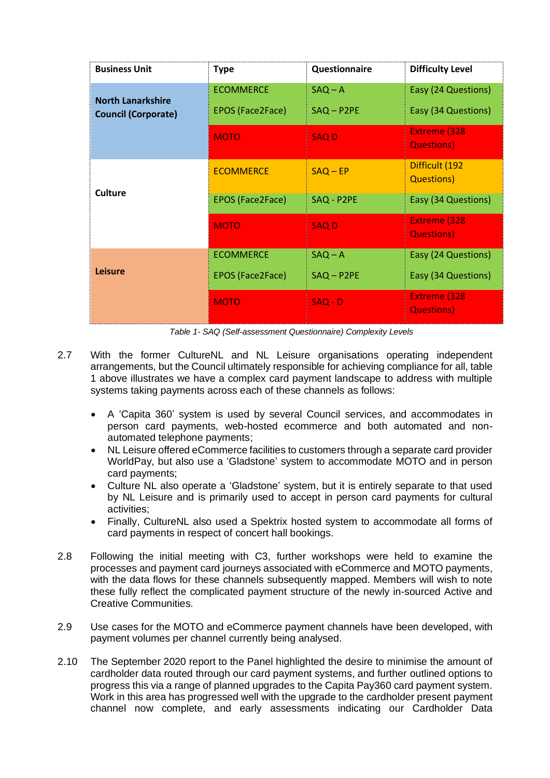| <b>Business Unit</b>                                   | <b>Type</b>                                 | Questionnaire             | <b>Difficulty Level</b>                    |
|--------------------------------------------------------|---------------------------------------------|---------------------------|--------------------------------------------|
| <b>North Lanarkshire</b><br><b>Council (Corporate)</b> | <b>ECOMMERCE</b><br><b>EPOS (Face2Face)</b> | $SAQ - A$<br>$SAQ - P2PE$ | Easy (24 Questions)<br>Easy (34 Questions) |
|                                                        | <b>MOTO</b>                                 | <b>SAQD</b>               | <b>Extreme (328)</b><br><b>Questions</b> ) |
|                                                        | <b>ECOMMERCE</b>                            | $SAQ - EP$                | Difficult (192<br><b>Questions</b> )       |
| Culture                                                | EPOS (Face2Face)                            | SAQ - P2PE                | Easy (34 Questions)                        |
|                                                        | <b>MOTO</b>                                 | <b>SAQD</b>               | <b>Extreme (328)</b><br><b>Questions</b> ) |
|                                                        | <b>ECOMMERCE</b>                            | $SAQ - A$                 | Easy (24 Questions)                        |
| Leisure                                                | EPOS (Face2Face)                            | $SAQ - P2PE$              | Easy (34 Questions)                        |
|                                                        | <b>MOTO</b>                                 | $SAQ - D$                 | <b>Extreme (328)</b><br><b>Questions</b> ) |

*Table 1- SAQ (Self-assessment Questionnaire) Complexity Levels*

- 2.7 With the former CultureNL and NL Leisure organisations operating independent arrangements, but the Council ultimately responsible for achieving compliance for all, table 1 above illustrates we have a complex card payment landscape to address with multiple systems taking payments across each of these channels as follows:
	- A 'Capita 360' system is used by several Council services, and accommodates in person card payments, web-hosted ecommerce and both automated and nonautomated telephone payments;
	- NL Leisure offered eCommerce facilities to customers through a separate card provider WorldPay, but also use a 'Gladstone' system to accommodate MOTO and in person card payments;
	- Culture NL also operate a 'Gladstone' system, but it is entirely separate to that used by NL Leisure and is primarily used to accept in person card payments for cultural activities;
	- Finally, CultureNL also used a Spektrix hosted system to accommodate all forms of card payments in respect of concert hall bookings.
- 2.8 Following the initial meeting with C3, further workshops were held to examine the processes and payment card journeys associated with eCommerce and MOTO payments, with the data flows for these channels subsequently mapped. Members will wish to note these fully reflect the complicated payment structure of the newly in-sourced Active and Creative Communities.
- 2.9 Use cases for the MOTO and eCommerce payment channels have been developed, with payment volumes per channel currently being analysed.
- 2.10 The September 2020 report to the Panel highlighted the desire to minimise the amount of cardholder data routed through our card payment systems, and further outlined options to progress this via a range of planned upgrades to the Capita Pay360 card payment system. Work in this area has progressed well with the upgrade to the cardholder present payment channel now complete, and early assessments indicating our Cardholder Data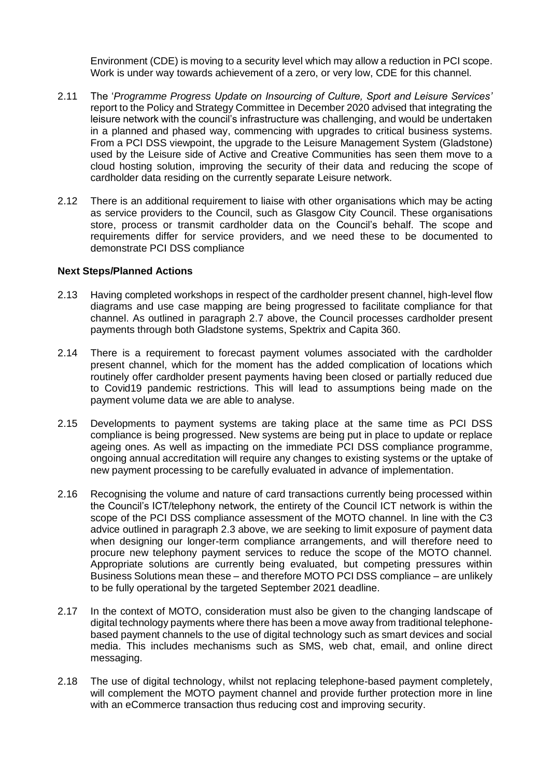Environment (CDE) is moving to a security level which may allow a reduction in PCI scope. Work is under way towards achievement of a zero, or very low, CDE for this channel.

- 2.11 The '*Programme Progress Update on Insourcing of Culture, Sport and Leisure Services'* report to the Policy and Strategy Committee in December 2020 advised that integrating the leisure network with the council's infrastructure was challenging, and would be undertaken in a planned and phased way, commencing with upgrades to critical business systems. From a PCI DSS viewpoint, the upgrade to the Leisure Management System (Gladstone) used by the Leisure side of Active and Creative Communities has seen them move to a cloud hosting solution, improving the security of their data and reducing the scope of cardholder data residing on the currently separate Leisure network.
- 2.12 There is an additional requirement to liaise with other organisations which may be acting as service providers to the Council, such as Glasgow City Council. These organisations store, process or transmit cardholder data on the Council's behalf. The scope and requirements differ for service providers, and we need these to be documented to demonstrate PCI DSS compliance

#### **Next Steps/Planned Actions**

- 2.13 Having completed workshops in respect of the cardholder present channel, high-level flow diagrams and use case mapping are being progressed to facilitate compliance for that channel. As outlined in paragraph 2.7 above, the Council processes cardholder present payments through both Gladstone systems, Spektrix and Capita 360.
- 2.14 There is a requirement to forecast payment volumes associated with the cardholder present channel, which for the moment has the added complication of locations which routinely offer cardholder present payments having been closed or partially reduced due to Covid19 pandemic restrictions. This will lead to assumptions being made on the payment volume data we are able to analyse.
- 2.15 Developments to payment systems are taking place at the same time as PCI DSS compliance is being progressed. New systems are being put in place to update or replace ageing ones. As well as impacting on the immediate PCI DSS compliance programme, ongoing annual accreditation will require any changes to existing systems or the uptake of new payment processing to be carefully evaluated in advance of implementation.
- 2.16 Recognising the volume and nature of card transactions currently being processed within the Council's ICT/telephony network, the entirety of the Council ICT network is within the scope of the PCI DSS compliance assessment of the MOTO channel. In line with the C3 advice outlined in paragraph 2.3 above, we are seeking to limit exposure of payment data when designing our longer-term compliance arrangements, and will therefore need to procure new telephony payment services to reduce the scope of the MOTO channel. Appropriate solutions are currently being evaluated, but competing pressures within Business Solutions mean these – and therefore MOTO PCI DSS compliance – are unlikely to be fully operational by the targeted September 2021 deadline.
- 2.17 In the context of MOTO, consideration must also be given to the changing landscape of digital technology payments where there has been a move away from traditional telephonebased payment channels to the use of digital technology such as smart devices and social media. This includes mechanisms such as SMS, web chat, email, and online direct messaging.
- 2.18 The use of digital technology, whilst not replacing telephone-based payment completely, will complement the MOTO payment channel and provide further protection more in line with an eCommerce transaction thus reducing cost and improving security.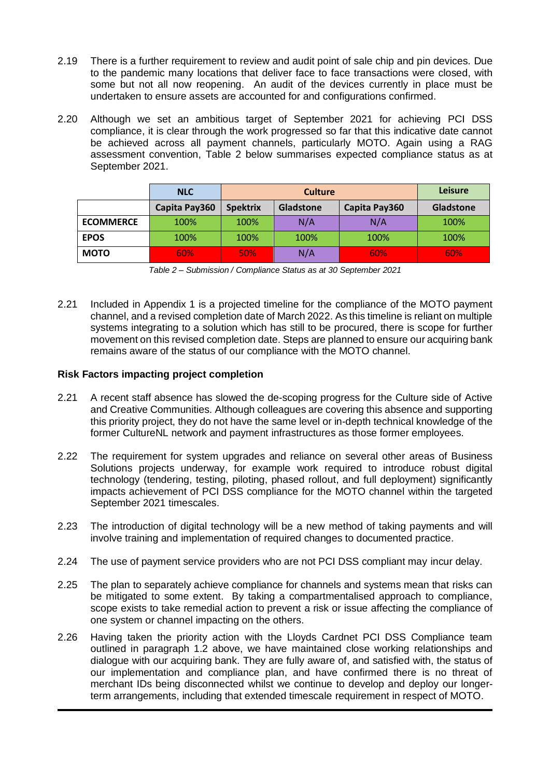- 2.19 There is a further requirement to review and audit point of sale chip and pin devices. Due to the pandemic many locations that deliver face to face transactions were closed, with some but not all now reopening. An audit of the devices currently in place must be undertaken to ensure assets are accounted for and configurations confirmed.
- 2.20 Although we set an ambitious target of September 2021 for achieving PCI DSS compliance, it is clear through the work progressed so far that this indicative date cannot be achieved across all payment channels, particularly MOTO. Again using a RAG assessment convention, Table 2 below summarises expected compliance status as at September 2021.

|                  | <b>NLC</b>    | <b>Culture</b>  |                  | <b>Leisure</b> |            |
|------------------|---------------|-----------------|------------------|----------------|------------|
|                  | Capita Pay360 | <b>Spektrix</b> | <b>Gladstone</b> | Capita Pay360  | Gladstone  |
| <b>ECOMMERCE</b> | 100%          | 100%            | N/A              | N/A            | 100%       |
| <b>EPOS</b>      | 100%          | 100%            | 100%             | 100%           | 100%       |
| <b>MOTO</b>      | 60%           | <b>50%</b>      | N/A              | 60%            | <b>60%</b> |

|  | Table 2 - Submission / Compliance Status as at 30 September 2021 |  |
|--|------------------------------------------------------------------|--|
|--|------------------------------------------------------------------|--|

2.21 Included in Appendix 1 is a projected timeline for the compliance of the MOTO payment channel, and a revised completion date of March 2022. As this timeline is reliant on multiple systems integrating to a solution which has still to be procured, there is scope for further movement on this revised completion date. Steps are planned to ensure our acquiring bank remains aware of the status of our compliance with the MOTO channel.

## **Risk Factors impacting project completion**

- 2.21 A recent staff absence has slowed the de-scoping progress for the Culture side of Active and Creative Communities. Although colleagues are covering this absence and supporting this priority project, they do not have the same level or in-depth technical knowledge of the former CultureNL network and payment infrastructures as those former employees.
- 2.22 The requirement for system upgrades and reliance on several other areas of Business Solutions projects underway, for example work required to introduce robust digital technology (tendering, testing, piloting, phased rollout, and full deployment) significantly impacts achievement of PCI DSS compliance for the MOTO channel within the targeted September 2021 timescales.
- 2.23 The introduction of digital technology will be a new method of taking payments and will involve training and implementation of required changes to documented practice.
- 2.24 The use of payment service providers who are not PCI DSS compliant may incur delay.
- 2.25 The plan to separately achieve compliance for channels and systems mean that risks can be mitigated to some extent. By taking a compartmentalised approach to compliance, scope exists to take remedial action to prevent a risk or issue affecting the compliance of one system or channel impacting on the others.
- 2.26 Having taken the priority action with the Lloyds Cardnet PCI DSS Compliance team outlined in paragraph 1.2 above, we have maintained close working relationships and dialogue with our acquiring bank. They are fully aware of, and satisfied with, the status of our implementation and compliance plan, and have confirmed there is no threat of merchant IDs being disconnected whilst we continue to develop and deploy our longerterm arrangements, including that extended timescale requirement in respect of MOTO.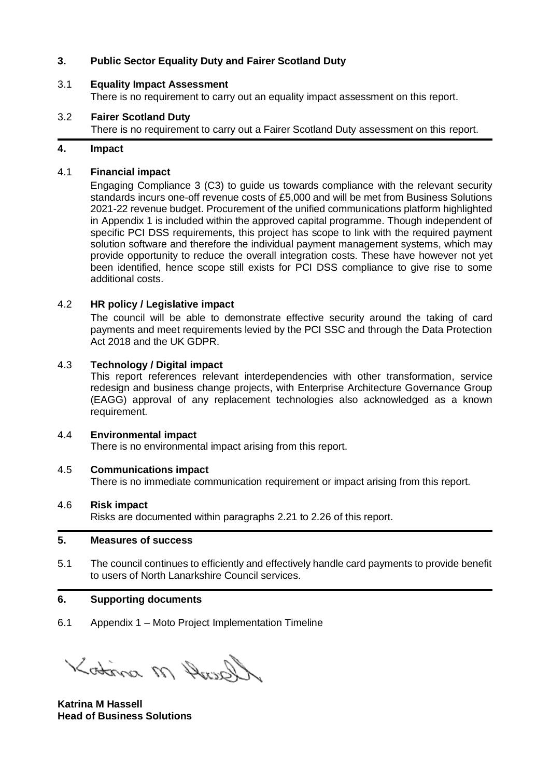# **3. Public Sector Equality Duty and Fairer Scotland Duty**

### 3.1 **Equality Impact Assessment**

There is no requirement to carry out an equality impact assessment on this report.

#### 3.2 **Fairer Scotland Duty**

There is no requirement to carry out a Fairer Scotland Duty assessment on this report.

### **4. Impact**

#### 4.1 **Financial impact**

Engaging Compliance 3 (C3) to guide us towards compliance with the relevant security standards incurs one-off revenue costs of £5,000 and will be met from Business Solutions 2021-22 revenue budget. Procurement of the unified communications platform highlighted in Appendix 1 is included within the approved capital programme. Though independent of specific PCI DSS requirements, this project has scope to link with the required payment solution software and therefore the individual payment management systems, which may provide opportunity to reduce the overall integration costs. These have however not yet been identified, hence scope still exists for PCI DSS compliance to give rise to some additional costs.

## 4.2 **HR policy / Legislative impact**

The council will be able to demonstrate effective security around the taking of card payments and meet requirements levied by the PCI SSC and through the Data Protection Act 2018 and the UK GDPR.

#### 4.3 **Technology / Digital impact**

This report references relevant interdependencies with other transformation, service redesign and business change projects, with Enterprise Architecture Governance Group (EAGG) approval of any replacement technologies also acknowledged as a known requirement.

#### 4.4 **Environmental impact**

There is no environmental impact arising from this report.

#### 4.5 **Communications impact**

There is no immediate communication requirement or impact arising from this report.

#### 4.6 **Risk impact**

Risks are documented within paragraphs 2.21 to 2.26 of this report.

## **5. Measures of success**

5.1 The council continues to efficiently and effectively handle card payments to provide benefit to users of North Lanarkshire Council services.

#### **6. Supporting documents**

6.1 Appendix 1 – Moto Project Implementation Timeline

Kotina M Ausolh

**Katrina M Hassell Head of Business Solutions**